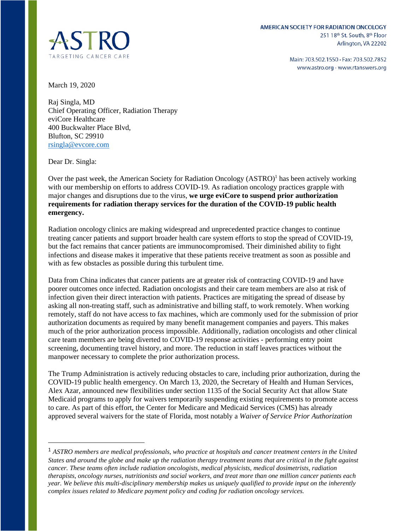

Main: 703.502.1550 · Fax: 703.502.7852 www.astro.org · www.rtanswers.org

March 19, 2020

Raj Singla, MD Chief Operating Officer, Radiation Therapy eviCore Healthcare 400 Buckwalter Place Blvd, Blufton, SC 29910 [rsingla@evcore.com](mailto:rsingla@evcore.com) 

Dear Dr. Singla:

Over the past week, the American Society for Radiation Oncology (ASTRO)<sup>1</sup> has been actively working with our membership on efforts to address COVID-19. As radiation oncology practices grapple with major changes and disruptions due to the virus, **we urge eviCore to suspend prior authorization requirements for radiation therapy services for the duration of the COVID-19 public health emergency.**

Radiation oncology clinics are making widespread and unprecedented practice changes to continue treating cancer patients and support broader health care system efforts to stop the spread of COVID-19, but the fact remains that cancer patients are immunocompromised. Their diminished ability to fight infections and disease makes it imperative that these patients receive treatment as soon as possible and with as few obstacles as possible during this turbulent time.

Data from China indicates that cancer patients are at greater risk of contracting COVID-19 and have poorer outcomes once infected. Radiation oncologists and their care team members are also at risk of infection given their direct interaction with patients. Practices are mitigating the spread of disease by asking all non-treating staff, such as administrative and billing staff, to work remotely. When working remotely, staff do not have access to fax machines, which are commonly used for the submission of prior authorization documents as required by many benefit management companies and payers. This makes much of the prior authorization process impossible. Additionally, radiation oncologists and other clinical care team members are being diverted to COVID-19 response activities - performing entry point screening, documenting travel history, and more. The reduction in staff leaves practices without the manpower necessary to complete the prior authorization process.

The Trump Administration is actively reducing obstacles to care, including prior authorization, during the COVID-19 public health emergency. On March 13, 2020, the Secretary of Health and Human Services, Alex Azar, announced new flexibilities under section 1135 of the Social Security Act that allow State Medicaid programs to apply for waivers temporarily suspending existing requirements to promote access to care. As part of this effort, the Center for Medicare and Medicaid Services (CMS) has already approved several waivers for the state of Florida, most notably a *Waiver of Service Prior Authorization* 

<sup>1</sup> *ASTRO members are medical professionals, who practice at hospitals and cancer treatment centers in the United States and around the globe and make up the radiation therapy treatment teams that are critical in the fight against cancer. These teams often include radiation oncologists, medical physicists, medical dosimetrists, radiation therapists, oncology nurses, nutritionists and social workers, and treat more than one million cancer patients each year. We believe this multi-disciplinary membership makes us uniquely qualified to provide input on the inherently complex issues related to Medicare payment policy and coding for radiation oncology services.*